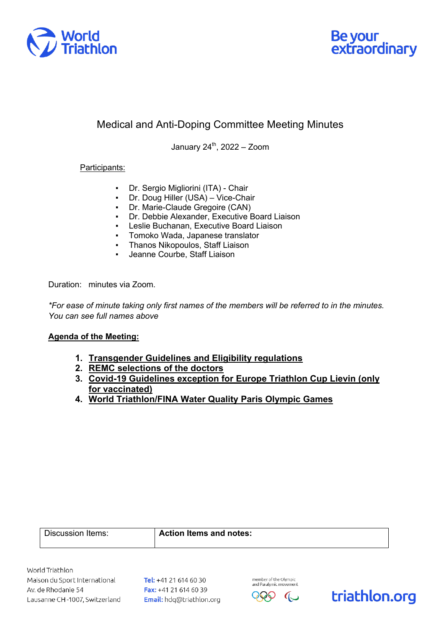



## Medical and Anti-Doping Committee Meeting Minutes

January  $24^{\text{th}}$ ,  $2022 - Z$ oom

## Participants:

- Dr. Sergio Migliorini (ITA) Chair
- Dr. Doug Hiller (USA) Vice-Chair
- Dr. Marie-Claude Gregoire (CAN)
- Dr. Debbie Alexander, Executive Board Liaison
- Leslie Buchanan, Executive Board Liaison
- Tomoko Wada, Japanese translator
- Thanos Nikopoulos, Staff Liaison
- Jeanne Courbe, Staff Liaison

Duration: minutes via Zoom.

*\*For ease of minute taking only first names of the members will be referred to in the minutes. You can see full names above*

## **Agenda of the Meeting:**

- **1. Transgender Guidelines and Eligibility regulations**
- **2. REMC selections of the doctors**
- **3. Covid-19 Guidelines exception for Europe Triathlon Cup Lievin (only for vaccinated)**
- **4. World Triathlon/FINA Water Quality Paris Olympic Games**

|  | Discussion Items: |
|--|-------------------|
|  |                   |
|  |                   |
|  |                   |

Action Items and notes:

World Triathlon Maison du Sport International Av. de Rhodanie 54 Lausanne CH-1007, Switzerland

Tel: +41 21 614 60 30 Fax: +41 21 614 60 39 Email: hdq@triathlon.org



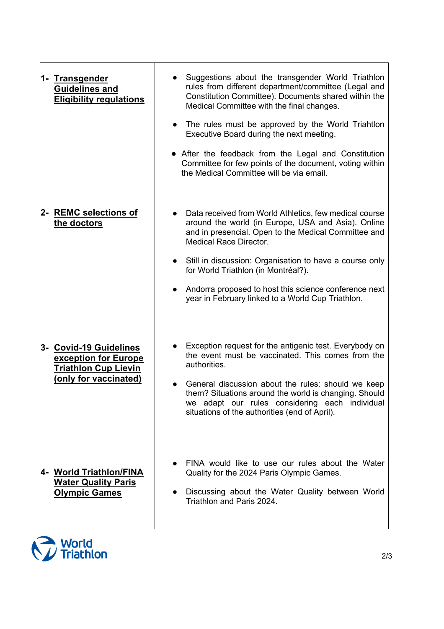| 1- Transgender<br><b>Guidelines and</b><br><b>Eligibility regulations</b>                              | Suggestions about the transgender World Triathlon<br>rules from different department/committee (Legal and<br>Constitution Committee). Documents shared within the<br>Medical Committee with the final changes.<br>The rules must be approved by the World Triahtlon<br>$\bullet$<br>Executive Board during the next meeting.<br>• After the feedback from the Legal and Constitution<br>Committee for few points of the document, voting within<br>the Medical Committee will be via email. |
|--------------------------------------------------------------------------------------------------------|---------------------------------------------------------------------------------------------------------------------------------------------------------------------------------------------------------------------------------------------------------------------------------------------------------------------------------------------------------------------------------------------------------------------------------------------------------------------------------------------|
| 2- REMC selections of<br>the doctors                                                                   | Data received from World Athletics, few medical course<br>around the world (in Europe, USA and Asia). Online<br>and in presencial. Open to the Medical Committee and<br><b>Medical Race Director.</b><br>Still in discussion: Organisation to have a course only<br>$\bullet$<br>for World Triathlon (in Montréal?).<br>Andorra proposed to host this science conference next<br>year in February linked to a World Cup Triathlon.                                                          |
| 3- Covid-19 Guidelines<br>exception for Europe<br><b>Triathlon Cup Lievin</b><br>(only for vaccinated) | Exception request for the antigenic test. Everybody on<br>the event must be vaccinated. This comes from the<br>authorities.<br>General discussion about the rules: should we keep<br>them? Situations around the world is changing. Should<br>we adapt our rules considering each individual<br>situations of the authorities (end of April).                                                                                                                                               |
| 4- World Triathlon/FINA<br><b>Water Quality Paris</b><br><b>Olympic Games</b>                          | FINA would like to use our rules about the Water<br>Quality for the 2024 Paris Olympic Games.<br>Discussing about the Water Quality between World<br>Triathlon and Paris 2024.                                                                                                                                                                                                                                                                                                              |